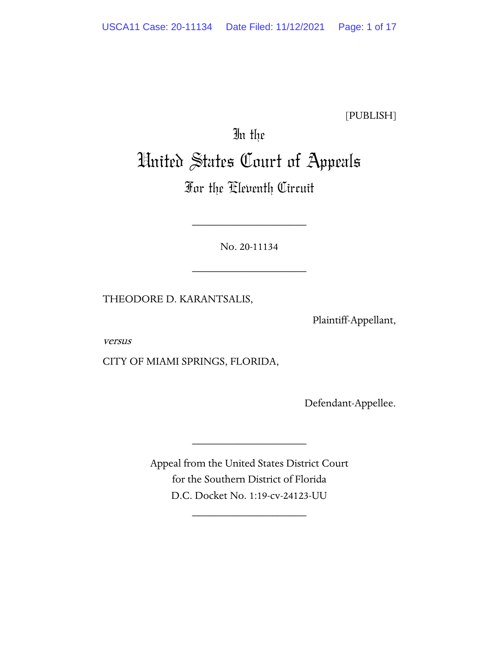[PUBLISH]

# In the United States Court of Appeals

# For the Eleventh Circuit

No. 20-11134

\_\_\_\_\_\_\_\_\_\_\_\_\_\_\_\_\_\_\_\_

\_\_\_\_\_\_\_\_\_\_\_\_\_\_\_\_\_\_\_\_

THEODORE D. KARANTSALIS,

Plaintiff-Appellant,

versus

CITY OF MIAMI SPRINGS, FLORIDA,

Defendant-Appellee.

Appeal from the United States District Court for the Southern District of Florida D.C. Docket No. 1:19-cv-24123-UU

\_\_\_\_\_\_\_\_\_\_\_\_\_\_\_\_\_\_\_\_

\_\_\_\_\_\_\_\_\_\_\_\_\_\_\_\_\_\_\_\_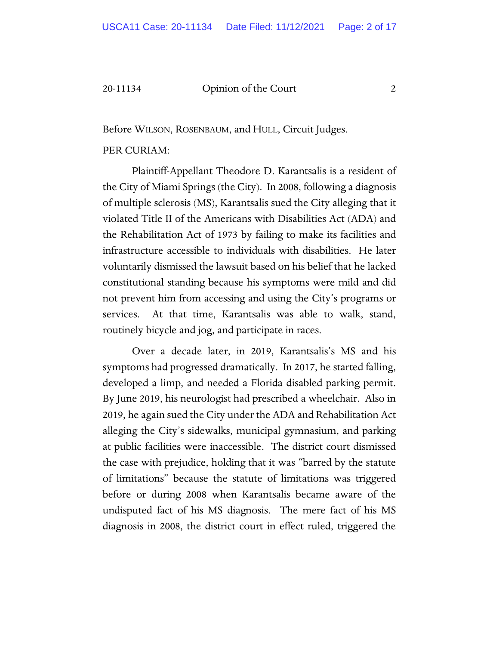Before WILSON, ROSENBAUM, and HULL, Circuit Judges.

## PER CURIAM:

Plaintiff-Appellant Theodore D. Karantsalis is a resident of the City of Miami Springs (the City). In 2008, following a diagnosis of multiple sclerosis (MS), Karantsalis sued the City alleging that it violated Title II of the Americans with Disabilities Act (ADA) and the Rehabilitation Act of 1973 by failing to make its facilities and infrastructure accessible to individuals with disabilities. He later voluntarily dismissed the lawsuit based on his belief that he lacked constitutional standing because his symptoms were mild and did not prevent him from accessing and using the City's programs or services. At that time, Karantsalis was able to walk, stand, routinely bicycle and jog, and participate in races.

Over a decade later, in 2019, Karantsalis's MS and his symptoms had progressed dramatically. In 2017, he started falling, developed a limp, and needed a Florida disabled parking permit. By June 2019, his neurologist had prescribed a wheelchair. Also in 2019, he again sued the City under the ADA and Rehabilitation Act alleging the City's sidewalks, municipal gymnasium, and parking at public facilities were inaccessible. The district court dismissed the case with prejudice, holding that it was "barred by the statute of limitations" because the statute of limitations was triggered before or during 2008 when Karantsalis became aware of the undisputed fact of his MS diagnosis. The mere fact of his MS diagnosis in 2008, the district court in effect ruled, triggered the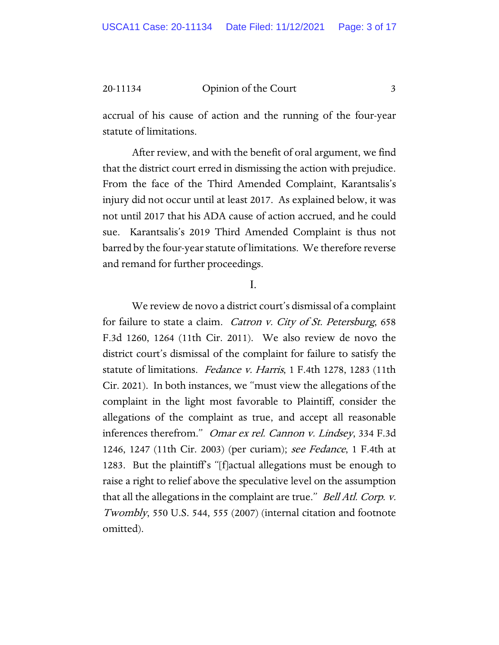accrual of his cause of action and the running of the four-year statute of limitations.

After review, and with the benefit of oral argument, we find that the district court erred in dismissing the action with prejudice. From the face of the Third Amended Complaint, Karantsalis's injury did not occur until at least 2017. As explained below, it was not until 2017 that his ADA cause of action accrued, and he could sue. Karantsalis's 2019 Third Amended Complaint is thus not barred by the four-year statute of limitations. We therefore reverse and remand for further proceedings.

I.

We review de novo a district court's dismissal of a complaint for failure to state a claim. Catron v. City of St. Petersburg, 658 F.3d 1260, 1264 (11th Cir. 2011). We also review de novo the district court's dismissal of the complaint for failure to satisfy the statute of limitations. Fedance v. Harris, 1 F.4th 1278, 1283 (11th Cir. 2021). In both instances, we "must view the allegations of the complaint in the light most favorable to Plaintiff, consider the allegations of the complaint as true, and accept all reasonable inferences therefrom." Omar ex rel. Cannon v. Lindsey, 334 F.3d 1246, 1247 (11th Cir. 2003) (per curiam); see Fedance, 1 F.4th at 1283. But the plaintiff's "[f]actual allegations must be enough to raise a right to relief above the speculative level on the assumption that all the allegations in the complaint are true." *Bell Atl. Corp. v.* Twombly, 550 U.S. 544, 555 (2007) (internal citation and footnote omitted).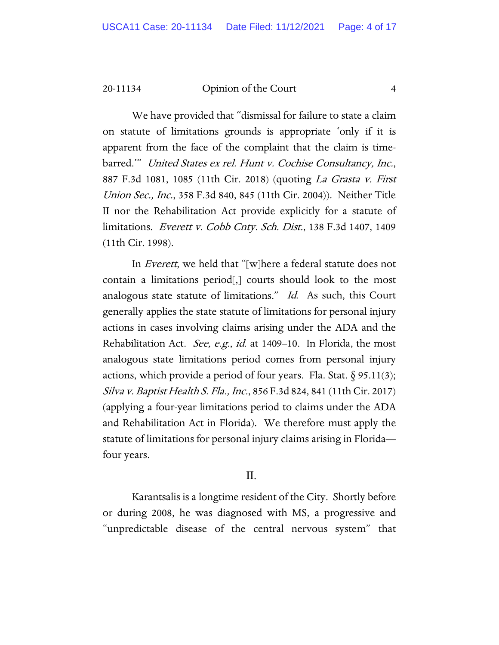We have provided that "dismissal for failure to state a claim on statute of limitations grounds is appropriate 'only if it is apparent from the face of the complaint that the claim is timebarred.'" United States ex rel. Hunt v. Cochise Consultancy, Inc., 887 F.3d 1081, 1085 (11th Cir. 2018) (quoting La Grasta v. First Union Sec., Inc., 358 F.3d 840, 845 (11th Cir. 2004)). Neither Title II nor the Rehabilitation Act provide explicitly for a statute of limitations. Everett v. Cobb Cnty. Sch. Dist., 138 F.3d 1407, 1409 (11th Cir. 1998).

In Everett, we held that "[w]here a federal statute does not contain a limitations period[,] courts should look to the most analogous state statute of limitations." Id. As such, this Court generally applies the state statute of limitations for personal injury actions in cases involving claims arising under the ADA and the Rehabilitation Act. *See, e.g., id.* at 1409–10. In Florida, the most analogous state limitations period comes from personal injury actions, which provide a period of four years. Fla. Stat.  $\S 95.11(3)$ ; Silva v. Baptist Health S. Fla., Inc., 856 F.3d 824, 841 (11th Cir. 2017) (applying a four-year limitations period to claims under the ADA and Rehabilitation Act in Florida). We therefore must apply the statute of limitations for personal injury claims arising in Florida four years.

# II.

Karantsalis is a longtime resident of the City. Shortly before or during 2008, he was diagnosed with MS, a progressive and "unpredictable disease of the central nervous system" that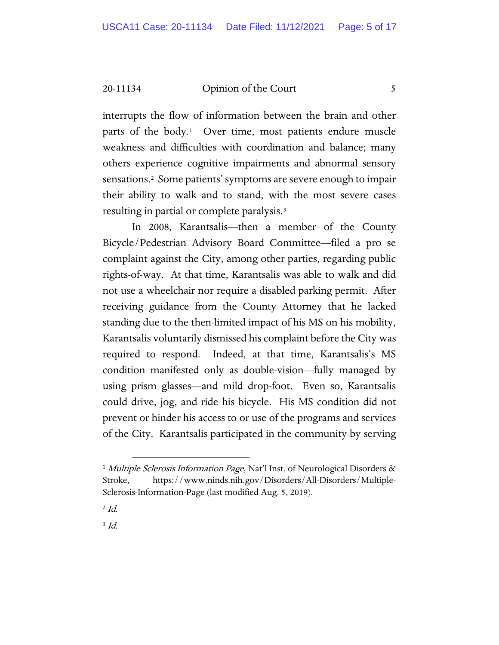interrupts the flow of information between the brain and other parts of the body[.1](#page-4-0) Over time, most patients endure muscle weakness and difficulties with coordination and balance; many others experience cognitive impairments and abnormal sensory sensations[.2](#page-4-1) Some patients' symptoms are severe enough to impair their ability to walk and to stand, with the most severe cases resulting in partial or complete paralysis.[3](#page-4-2)

In 2008, Karantsalis—then a member of the County Bicycle/Pedestrian Advisory Board Committee—filed a pro se complaint against the City, among other parties, regarding public rights-of-way. At that time, Karantsalis was able to walk and did not use a wheelchair nor require a disabled parking permit. After receiving guidance from the County Attorney that he lacked standing due to the then-limited impact of his MS on his mobility, Karantsalis voluntarily dismissed his complaint before the City was required to respond. Indeed, at that time, Karantsalis's MS condition manifested only as double-vision—fully managed by using prism glasses—and mild drop-foot. Even so, Karantsalis could drive, jog, and ride his bicycle. His MS condition did not prevent or hinder his access to or use of the programs and services of the City. Karantsalis participated in the community by serving

<span id="page-4-1"></span> $^{2}$  Id.

<span id="page-4-2"></span> $3$  Id.

<span id="page-4-0"></span><sup>&</sup>lt;sup>1</sup> Multiple Sclerosis Information Page, Nat'l Inst. of Neurological Disorders & Stroke, https://www.ninds.nih.gov/Disorders/All-Disorders/Multiple-Sclerosis-Information-Page (last modified Aug. 5, 2019).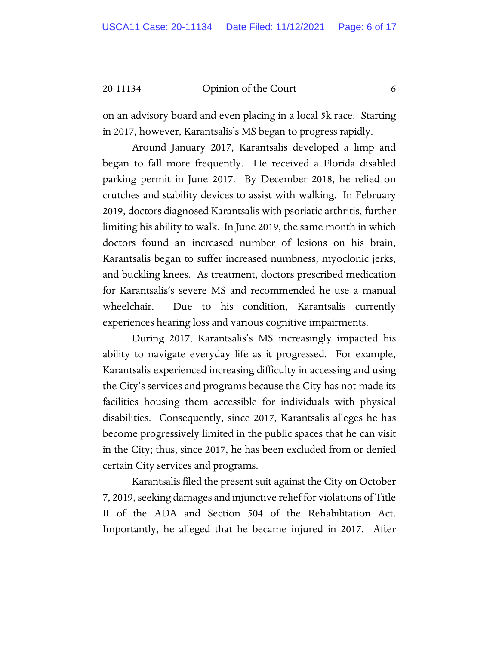on an advisory board and even placing in a local 5k race. Starting in 2017, however, Karantsalis's MS began to progress rapidly.

Around January 2017, Karantsalis developed a limp and began to fall more frequently. He received a Florida disabled parking permit in June 2017. By December 2018, he relied on crutches and stability devices to assist with walking. In February 2019, doctors diagnosed Karantsalis with psoriatic arthritis, further limiting his ability to walk. In June 2019, the same month in which doctors found an increased number of lesions on his brain, Karantsalis began to suffer increased numbness, myoclonic jerks, and buckling knees. As treatment, doctors prescribed medication for Karantsalis's severe MS and recommended he use a manual wheelchair. Due to his condition, Karantsalis currently experiences hearing loss and various cognitive impairments.

During 2017, Karantsalis's MS increasingly impacted his ability to navigate everyday life as it progressed. For example, Karantsalis experienced increasing difficulty in accessing and using the City's services and programs because the City has not made its facilities housing them accessible for individuals with physical disabilities. Consequently, since 2017, Karantsalis alleges he has become progressively limited in the public spaces that he can visit in the City; thus, since 2017, he has been excluded from or denied certain City services and programs.

Karantsalis filed the present suit against the City on October 7, 2019, seeking damages and injunctive relief for violations of Title II of the ADA and Section 504 of the Rehabilitation Act. Importantly, he alleged that he became injured in 2017. After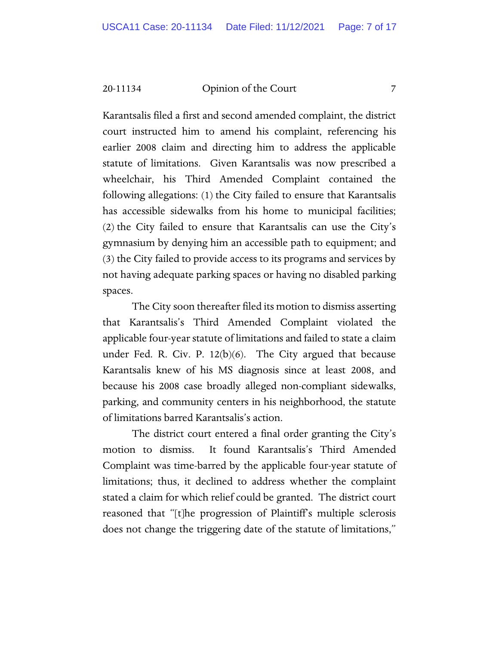Karantsalis filed a first and second amended complaint, the district court instructed him to amend his complaint, referencing his earlier 2008 claim and directing him to address the applicable statute of limitations. Given Karantsalis was now prescribed a wheelchair, his Third Amended Complaint contained the following allegations: (1) the City failed to ensure that Karantsalis has accessible sidewalks from his home to municipal facilities; (2) the City failed to ensure that Karantsalis can use the City's gymnasium by denying him an accessible path to equipment; and (3) the City failed to provide access to its programs and services by not having adequate parking spaces or having no disabled parking spaces.

The City soon thereafter filed its motion to dismiss asserting that Karantsalis's Third Amended Complaint violated the applicable four-year statute of limitations and failed to state a claim under Fed. R. Civ. P. 12(b)(6). The City argued that because Karantsalis knew of his MS diagnosis since at least 2008, and because his 2008 case broadly alleged non-compliant sidewalks, parking, and community centers in his neighborhood, the statute of limitations barred Karantsalis's action.

The district court entered a final order granting the City's motion to dismiss. It found Karantsalis's Third Amended Complaint was time-barred by the applicable four-year statute of limitations; thus, it declined to address whether the complaint stated a claim for which relief could be granted. The district court reasoned that "[t]he progression of Plaintiff's multiple sclerosis does not change the triggering date of the statute of limitations,"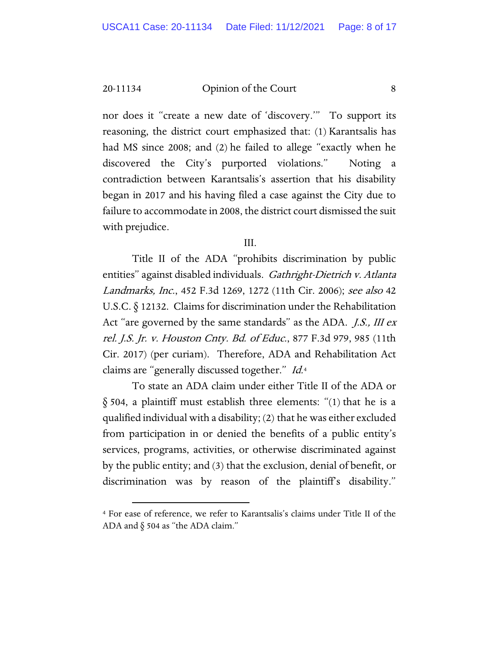nor does it "create a new date of 'discovery.'" To support its reasoning, the district court emphasized that: (1) Karantsalis has had MS since 2008; and (2) he failed to allege "exactly when he discovered the City's purported violations." Noting a contradiction between Karantsalis's assertion that his disability began in 2017 and his having filed a case against the City due to failure to accommodate in 2008, the district court dismissed the suit with prejudice.

#### III.

Title II of the ADA "prohibits discrimination by public entities" against disabled individuals. Gathright-Dietrich v. Atlanta Landmarks, Inc., 452 F.3d 1269, 1272 (11th Cir. 2006); see also 42 U.S.C. § 12132. Claims for discrimination under the Rehabilitation Act "are governed by the same standards" as the ADA. *J.S.*, *III ex* rel. J.S. Jr. v. Houston Cnty. Bd. of Educ., 877 F.3d 979, 985 (11th Cir. 2017) (per curiam). Therefore, ADA and Rehabilitation Act claims are "generally discussed together." Id.<sup>[4](#page-7-0)</sup>

To state an ADA claim under either Title II of the ADA or § 504, a plaintiff must establish three elements: "(1) that he is a qualified individual with a disability; (2) that he was either excluded from participation in or denied the benefits of a public entity's services, programs, activities, or otherwise discriminated against by the public entity; and (3) that the exclusion, denial of benefit, or discrimination was by reason of the plaintiff's disability."

<span id="page-7-0"></span><sup>4</sup> For ease of reference, we refer to Karantsalis's claims under Title II of the ADA and  $\S$  504 as "the ADA claim."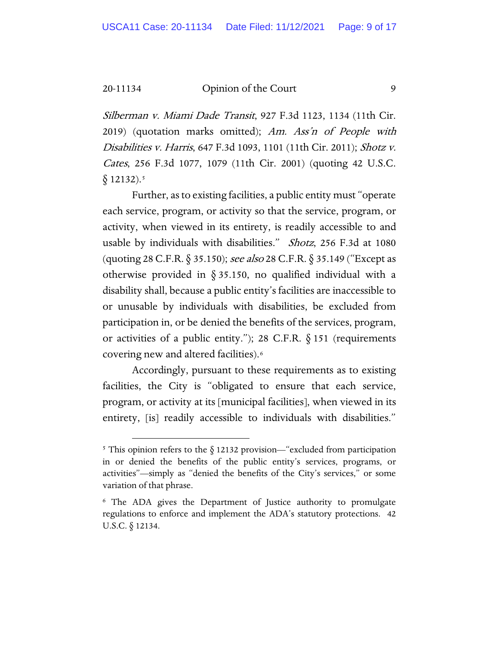Silberman v. Miami Dade Transit, 927 F.3d 1123, 1134 (11th Cir. 2019) (quotation marks omitted); Am. Ass'n of People with Disabilities v. Harris, 647 F.3d 1093, 1101 (11th Cir. 2011); Shotz v. Cates, 256 F.3d 1077, 1079 (11th Cir. 2001) (quoting 42 U.S.C.  $§$  12132).<sup>[5](#page-8-0)</sup>

Further, as to existing facilities, a public entity must "operate each service, program, or activity so that the service, program, or activity, when viewed in its entirety, is readily accessible to and usable by individuals with disabilities." Shotz, 256 F.3d at 1080 (quoting 28 C.F.R. § 35.150); see also 28 C.F.R. § 35.149 ("Except as otherwise provided in § 35.150, no qualified individual with a disability shall, because a public entity's facilities are inaccessible to or unusable by individuals with disabilities, be excluded from participation in, or be denied the benefits of the services, program, or activities of a public entity."); 28 C.F.R.  $\S$  151 (requirements covering new and altered facilities).[6](#page-8-1)

Accordingly, pursuant to these requirements as to existing facilities, the City is "obligated to ensure that each service, program, or activity at its [municipal facilities], when viewed in its entirety, [is] readily accessible to individuals with disabilities."

<span id="page-8-0"></span><sup>&</sup>lt;sup>5</sup> This opinion refers to the  $\S$  12132 provision—"excluded from participation in or denied the benefits of the public entity's services, programs, or activities"—simply as "denied the benefits of the City's services," or some variation of that phrase.

<span id="page-8-1"></span><sup>6</sup> The ADA gives the Department of Justice authority to promulgate regulations to enforce and implement the ADA's statutory protections. 42 U.S.C. § 12134.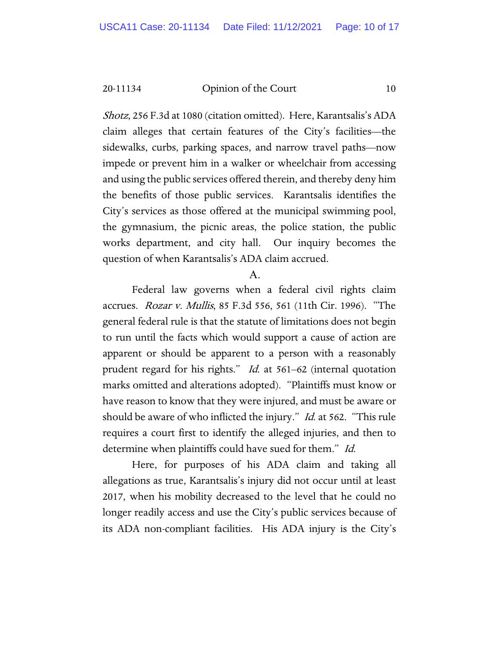Shotz, 256 F.3d at 1080 (citation omitted). Here, Karantsalis's ADA claim alleges that certain features of the City's facilities—the sidewalks, curbs, parking spaces, and narrow travel paths—now impede or prevent him in a walker or wheelchair from accessing and using the public services offered therein, and thereby deny him the benefits of those public services. Karantsalis identifies the City's services as those offered at the municipal swimming pool, the gymnasium, the picnic areas, the police station, the public works department, and city hall. Our inquiry becomes the question of when Karantsalis's ADA claim accrued.

### A.

Federal law governs when a federal civil rights claim accrues. Rozar v. Mullis, 85 F.3d 556, 561 (11th Cir. 1996). "The general federal rule is that the statute of limitations does not begin to run until the facts which would support a cause of action are apparent or should be apparent to a person with a reasonably prudent regard for his rights." Id. at 561–62 (internal quotation marks omitted and alterations adopted). "Plaintiffs must know or have reason to know that they were injured, and must be aware or should be aware of who inflicted the injury." *Id.* at 562. "This rule requires a court first to identify the alleged injuries, and then to determine when plaintiffs could have sued for them." Id.

Here, for purposes of his ADA claim and taking all allegations as true, Karantsalis's injury did not occur until at least 2017, when his mobility decreased to the level that he could no longer readily access and use the City's public services because of its ADA non-compliant facilities. His ADA injury is the City's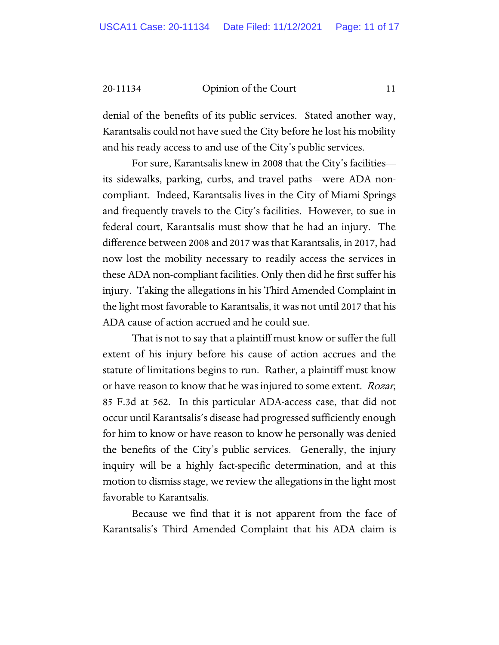denial of the benefits of its public services. Stated another way, Karantsalis could not have sued the City before he lost his mobility and his ready access to and use of the City's public services.

For sure, Karantsalis knew in 2008 that the City's facilities its sidewalks, parking, curbs, and travel paths—were ADA noncompliant. Indeed, Karantsalis lives in the City of Miami Springs and frequently travels to the City's facilities. However, to sue in federal court, Karantsalis must show that he had an injury. The difference between 2008 and 2017 was that Karantsalis, in 2017, had now lost the mobility necessary to readily access the services in these ADA non-compliant facilities. Only then did he first suffer his injury. Taking the allegations in his Third Amended Complaint in the light most favorable to Karantsalis, it was not until 2017 that his ADA cause of action accrued and he could sue.

That is not to say that a plaintiff must know or suffer the full extent of his injury before his cause of action accrues and the statute of limitations begins to run. Rather, a plaintiff must know or have reason to know that he was injured to some extent. *Rozar*, 85 F.3d at 562. In this particular ADA-access case, that did not occur until Karantsalis's disease had progressed sufficiently enough for him to know or have reason to know he personally was denied the benefits of the City's public services. Generally, the injury inquiry will be a highly fact-specific determination, and at this motion to dismiss stage, we review the allegations in the light most favorable to Karantsalis.

Because we find that it is not apparent from the face of Karantsalis's Third Amended Complaint that his ADA claim is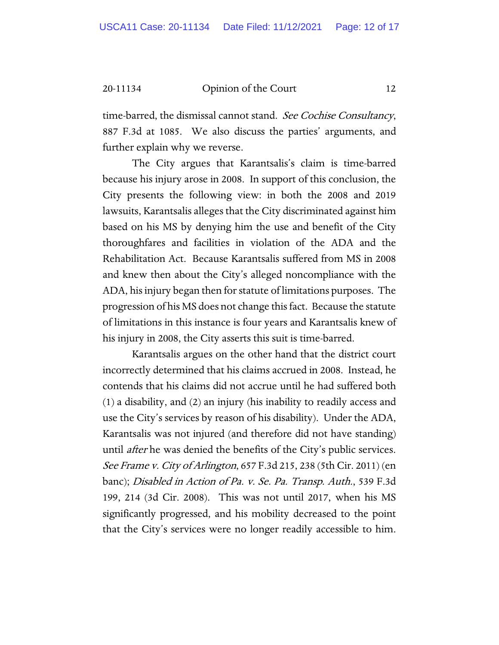time-barred, the dismissal cannot stand. See Cochise Consultancy, 887 F.3d at 1085. We also discuss the parties' arguments, and further explain why we reverse.

The City argues that Karantsalis's claim is time-barred because his injury arose in 2008. In support of this conclusion, the City presents the following view: in both the 2008 and 2019 lawsuits, Karantsalis alleges that the City discriminated against him based on his MS by denying him the use and benefit of the City thoroughfares and facilities in violation of the ADA and the Rehabilitation Act. Because Karantsalis suffered from MS in 2008 and knew then about the City's alleged noncompliance with the ADA, his injury began then for statute of limitations purposes. The progression of his MS does not change this fact. Because the statute of limitations in this instance is four years and Karantsalis knew of his injury in 2008, the City asserts this suit is time-barred.

Karantsalis argues on the other hand that the district court incorrectly determined that his claims accrued in 2008. Instead, he contends that his claims did not accrue until he had suffered both (1) a disability, and (2) an injury (his inability to readily access and use the City's services by reason of his disability). Under the ADA, Karantsalis was not injured (and therefore did not have standing) until *after* he was denied the benefits of the City's public services. See Frame v. City of Arlington, 657 F.3d 215, 238 (5th Cir. 2011) (en banc); Disabled in Action of Pa. v. Se. Pa. Transp. Auth., 539 F.3d 199, 214 (3d Cir. 2008). This was not until 2017, when his MS significantly progressed, and his mobility decreased to the point that the City's services were no longer readily accessible to him.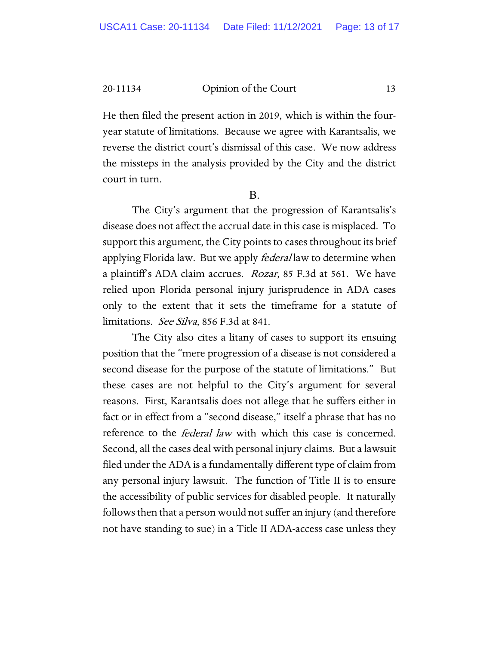He then filed the present action in 2019, which is within the fouryear statute of limitations. Because we agree with Karantsalis, we reverse the district court's dismissal of this case. We now address the missteps in the analysis provided by the City and the district court in turn.

B.

The City's argument that the progression of Karantsalis's disease does not affect the accrual date in this case is misplaced. To support this argument, the City points to cases throughout its brief applying Florida law. But we apply *federal* law to determine when a plaintiff's ADA claim accrues. Rozar, 85 F.3d at 561. We have relied upon Florida personal injury jurisprudence in ADA cases only to the extent that it sets the timeframe for a statute of limitations. See Silva, 856 F.3d at 841.

The City also cites a litany of cases to support its ensuing position that the "mere progression of a disease is not considered a second disease for the purpose of the statute of limitations." But these cases are not helpful to the City's argument for several reasons. First, Karantsalis does not allege that he suffers either in fact or in effect from a "second disease," itself a phrase that has no reference to the federal law with which this case is concerned. Second, all the cases deal with personal injury claims. But a lawsuit filed under the ADA is a fundamentally different type of claim from any personal injury lawsuit. The function of Title II is to ensure the accessibility of public services for disabled people. It naturally follows then that a person would not suffer an injury (and therefore not have standing to sue) in a Title II ADA-access case unless they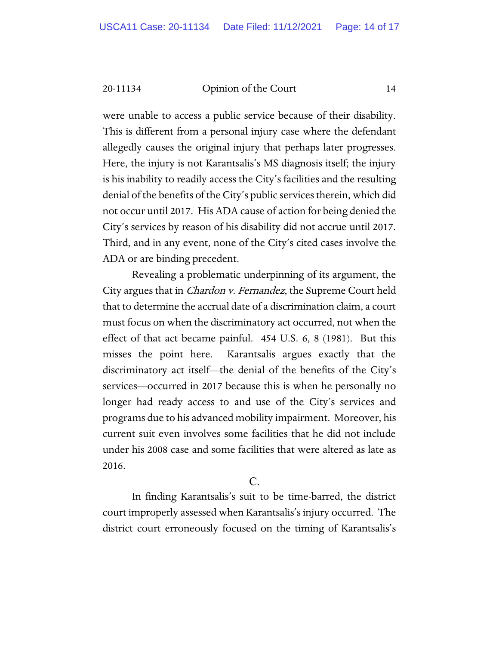were unable to access a public service because of their disability. This is different from a personal injury case where the defendant allegedly causes the original injury that perhaps later progresses. Here, the injury is not Karantsalis's MS diagnosis itself; the injury is his inability to readily access the City's facilities and the resulting denial of the benefits of the City's public services therein, which did not occur until 2017. His ADA cause of action for being denied the City's services by reason of his disability did not accrue until 2017. Third, and in any event, none of the City's cited cases involve the ADA or are binding precedent.

Revealing a problematic underpinning of its argument, the City argues that in *Chardon v. Fernandez*, the Supreme Court held that to determine the accrual date of a discrimination claim, a court must focus on when the discriminatory act occurred, not when the effect of that act became painful. 454 U.S. 6, 8 (1981). But this misses the point here. Karantsalis argues exactly that the discriminatory act itself—the denial of the benefits of the City's services—occurred in 2017 because this is when he personally no longer had ready access to and use of the City's services and programs due to his advanced mobility impairment. Moreover, his current suit even involves some facilities that he did not include under his 2008 case and some facilities that were altered as late as 2016.

 $\overline{C}$ .

In finding Karantsalis's suit to be time-barred, the district court improperly assessed when Karantsalis's injury occurred. The district court erroneously focused on the timing of Karantsalis's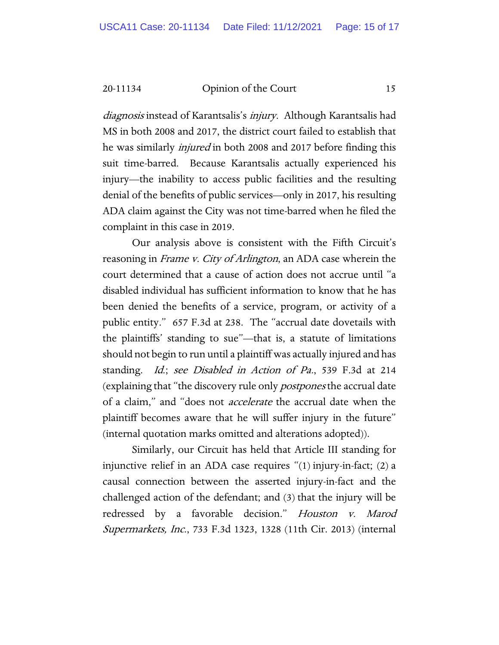diagnosis instead of Karantsalis's injury. Although Karantsalis had MS in both 2008 and 2017, the district court failed to establish that he was similarly *injured* in both 2008 and 2017 before finding this suit time-barred. Because Karantsalis actually experienced his injury—the inability to access public facilities and the resulting denial of the benefits of public services—only in 2017, his resulting ADA claim against the City was not time-barred when he filed the complaint in this case in 2019.

Our analysis above is consistent with the Fifth Circuit's reasoning in *Frame v. City of Arlington*, an ADA case wherein the court determined that a cause of action does not accrue until "a disabled individual has sufficient information to know that he has been denied the benefits of a service, program, or activity of a public entity." 657 F.3d at 238. The "accrual date dovetails with the plaintiffs' standing to sue"—that is, a statute of limitations should not begin to run until a plaintiff was actually injured and has standing. Id.; see Disabled in Action of Pa., 539 F.3d at 214 (explaining that "the discovery rule only postpones the accrual date of a claim," and "does not accelerate the accrual date when the plaintiff becomes aware that he will suffer injury in the future" (internal quotation marks omitted and alterations adopted)).

Similarly, our Circuit has held that Article III standing for injunctive relief in an ADA case requires "(1) injury-in-fact; (2) a causal connection between the asserted injury-in-fact and the challenged action of the defendant; and (3) that the injury will be redressed by a favorable decision." Houston v. Marod Supermarkets, Inc., 733 F.3d 1323, 1328 (11th Cir. 2013) (internal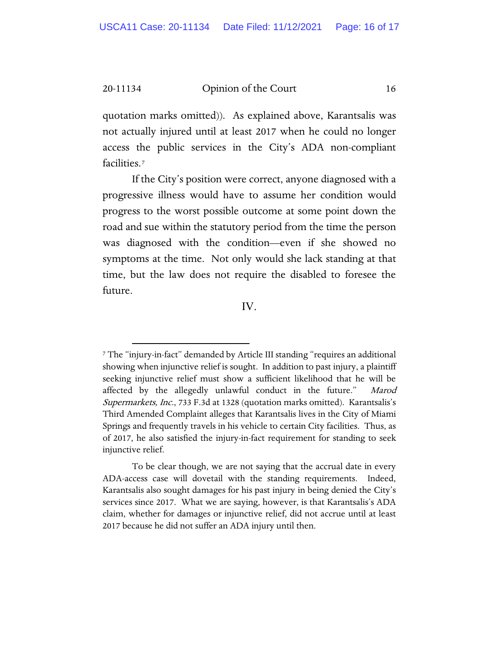quotation marks omitted)). As explained above, Karantsalis was not actually injured until at least 2017 when he could no longer access the public services in the City's ADA non-compliant facilities.[7](#page-15-0)

If the City's position were correct, anyone diagnosed with a progressive illness would have to assume her condition would progress to the worst possible outcome at some point down the road and sue within the statutory period from the time the person was diagnosed with the condition—even if she showed no symptoms at the time. Not only would she lack standing at that time, but the law does not require the disabled to foresee the future.

IV.

<span id="page-15-0"></span><sup>7</sup> The "injury-in-fact" demanded by Article III standing "requires an additional showing when injunctive relief is sought. In addition to past injury, a plaintiff seeking injunctive relief must show a sufficient likelihood that he will be affected by the allegedly unlawful conduct in the future." Marod Supermarkets, Inc., 733 F.3d at 1328 (quotation marks omitted). Karantsalis's Third Amended Complaint alleges that Karantsalis lives in the City of Miami Springs and frequently travels in his vehicle to certain City facilities. Thus, as of 2017, he also satisfied the injury-in-fact requirement for standing to seek injunctive relief.

To be clear though, we are not saying that the accrual date in every ADA-access case will dovetail with the standing requirements. Indeed, Karantsalis also sought damages for his past injury in being denied the City's services since 2017. What we are saying, however, is that Karantsalis's ADA claim, whether for damages or injunctive relief, did not accrue until at least 2017 because he did not suffer an ADA injury until then.